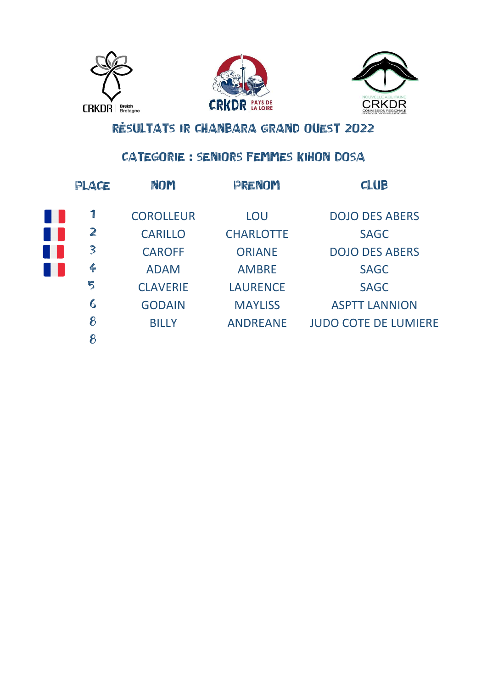





### CATEGORIE : SENIORS FEMMES KIHON DOSA

| PLACE         | NOM              | PRENOM           | <b>CLUB</b>                 |
|---------------|------------------|------------------|-----------------------------|
| 1             | <b>COROLLEUR</b> | LOU              | <b>DOJO DES ABERS</b>       |
| $\mathbf{z}$  | <b>CARILLO</b>   | <b>CHARLOTTE</b> | <b>SAGC</b>                 |
| 3             | <b>CAROFF</b>    | <b>ORIANE</b>    | <b>DOJO DES ABERS</b>       |
| $\frac{2}{1}$ | <b>ADAM</b>      | <b>AMBRE</b>     | <b>SAGC</b>                 |
| 5             | <b>CLAVERIE</b>  | <b>LAURENCE</b>  | <b>SAGC</b>                 |
| 6             | <b>GODAIN</b>    | <b>MAYLISS</b>   | <b>ASPTT LANNION</b>        |
| 8             | <b>BILLY</b>     | <b>ANDREANE</b>  | <b>JUDO COTE DE LUMIERE</b> |
| 8             |                  |                  |                             |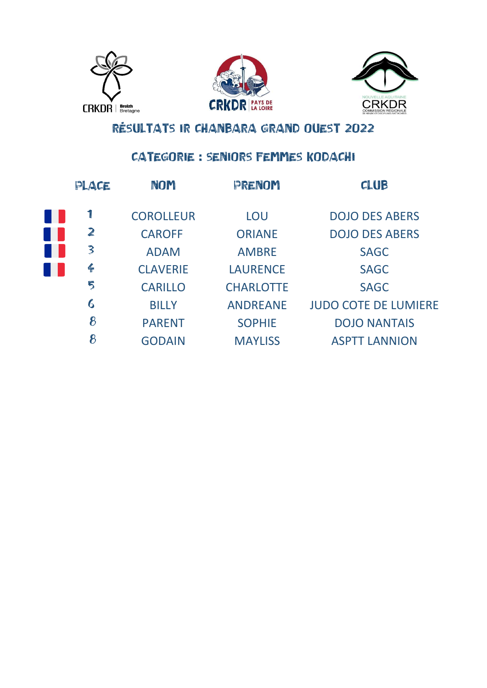





### CATEGORIE : SENIORS FEMMES KODACHI

| PLACE            | NOM              | PRENOM           | <b>CLUB</b>                 |
|------------------|------------------|------------------|-----------------------------|
|                  | <b>COROLLEUR</b> | LOU              | <b>DOJO DES ABERS</b>       |
| $\mathbb{Z}$     | <b>CAROFF</b>    | <b>ORIANE</b>    | <b>DOJO DES ABERS</b>       |
| 3                | <b>ADAM</b>      | <b>AMBRE</b>     | <b>SAGC</b>                 |
| $\leftarrow$     | <b>CLAVERIE</b>  | <b>LAURENCE</b>  | <b>SAGC</b>                 |
| 5                | <b>CARILLO</b>   | <b>CHARLOTTE</b> | <b>SAGC</b>                 |
| $\boldsymbol{6}$ | <b>BILLY</b>     | <b>ANDREANE</b>  | <b>JUDO COTE DE LUMIERE</b> |
| 8                | <b>PARENT</b>    | <b>SOPHIE</b>    | <b>DOJO NANTAIS</b>         |
| 8                | <b>GODAIN</b>    | <b>MAYLISS</b>   | <b>ASPTT LANNION</b>        |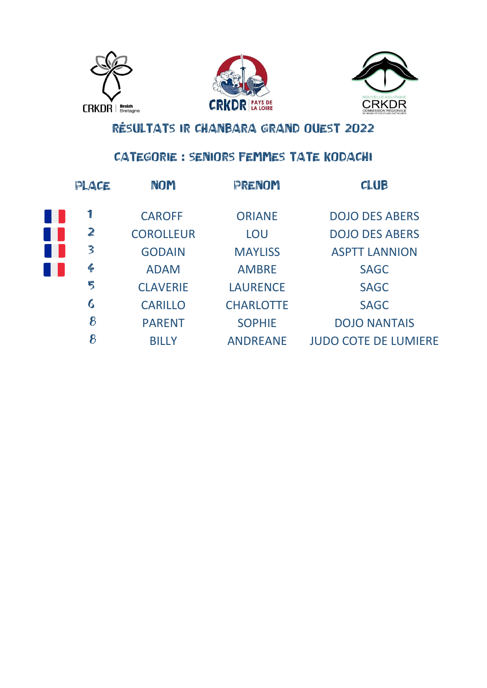





### CATEGORIE : SENIORS FEMMES TATE KODACHI

| PLACE            | <b>NOM</b>       | PRENOM           | CLUB                        |
|------------------|------------------|------------------|-----------------------------|
| $\mathbf{I}$     | <b>CAROFF</b>    | <b>ORIANE</b>    | <b>DOJO DES ABERS</b>       |
| $\mathbb{Z}$     | <b>COROLLEUR</b> | LOU              | <b>DOJO DES ABERS</b>       |
| 3                | <b>GODAIN</b>    | <b>MAYLISS</b>   | <b>ASPTT LANNION</b>        |
| $\leftarrow$     | <b>ADAM</b>      | <b>AMBRE</b>     | <b>SAGC</b>                 |
| 5                | <b>CLAVERIE</b>  | <b>LAURENCE</b>  | <b>SAGC</b>                 |
| $\boldsymbol{6}$ | <b>CARILLO</b>   | <b>CHARLOTTE</b> | <b>SAGC</b>                 |
| 8                | <b>PARENT</b>    | <b>SOPHIE</b>    | <b>DOJO NANTAIS</b>         |
| 8                | <b>BILLY</b>     | <b>ANDREANE</b>  | <b>JUDO COTE DE LUMIERE</b> |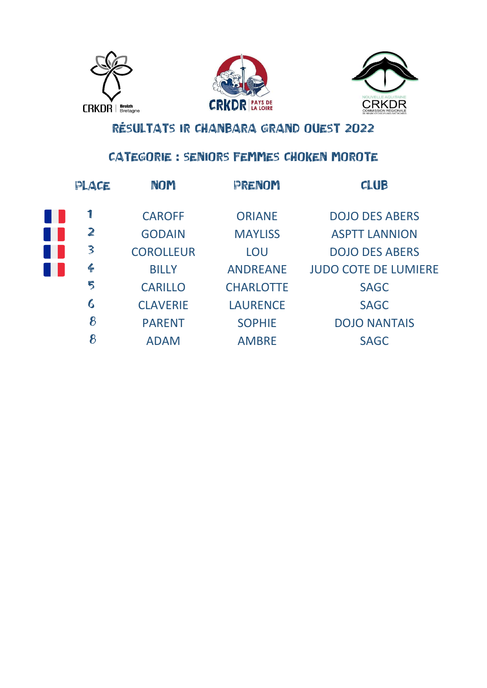





### CATEGORIE : SENIORS FEMMES CHOKEN MOROTE

| PLACE            | NOM              | PRENOM           | CLUB                        |
|------------------|------------------|------------------|-----------------------------|
|                  | <b>CAROFF</b>    | <b>ORIANE</b>    | <b>DOJO DES ABERS</b>       |
| $\mathbf{z}$     | <b>GODAIN</b>    | <b>MAYLISS</b>   | <b>ASPTT LANNION</b>        |
| $\mathbf{3}$     | <b>COROLLEUR</b> | LOU              | <b>DOJO DES ABERS</b>       |
| $\frac{2}{1}$    | <b>BILLY</b>     | <b>ANDREANE</b>  | <b>JUDO COTE DE LUMIERE</b> |
| 5                | <b>CARILLO</b>   | <b>CHARLOTTE</b> | <b>SAGC</b>                 |
| $\boldsymbol{6}$ | <b>CLAVERIE</b>  | <b>LAURENCE</b>  | <b>SAGC</b>                 |
| 8                | <b>PARENT</b>    | <b>SOPHIE</b>    | <b>DOJO NANTAIS</b>         |
| 8                | <b>ADAM</b>      | <b>AMBRE</b>     | <b>SAGC</b>                 |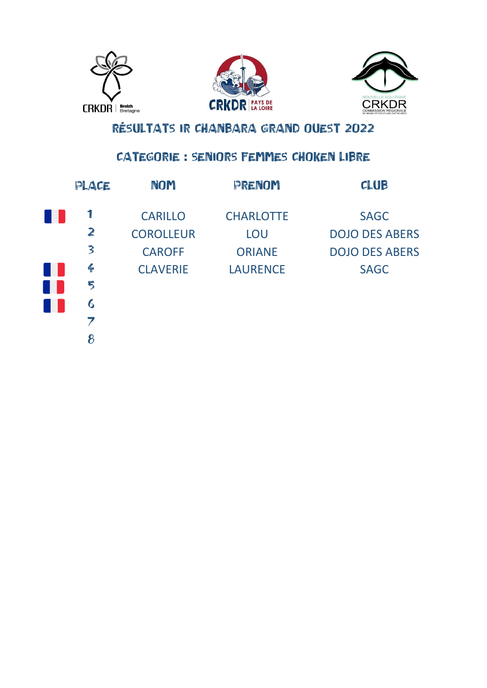





### CATEGORIE : SENIORS FEMMES CHOKEN LIBRE

| PLACE         | <b>NOM</b>       | PRENOM           | <b>CLUB</b>           |
|---------------|------------------|------------------|-----------------------|
|               | <b>CARILLO</b>   | <b>CHARLOTTE</b> | <b>SAGC</b>           |
| $\mathbb{Z}$  | <b>COROLLEUR</b> | LOU              | <b>DOJO DES ABERS</b> |
| $\mathbf{3}$  | <b>CAROFF</b>    | <b>ORIANE</b>    | <b>DOJO DES ABERS</b> |
| $\frac{2}{1}$ | <b>CLAVERIE</b>  | <b>LAURENCE</b>  | <b>SAGC</b>           |
| 5             |                  |                  |                       |
| 6             |                  |                  |                       |
|               |                  |                  |                       |
| 8             |                  |                  |                       |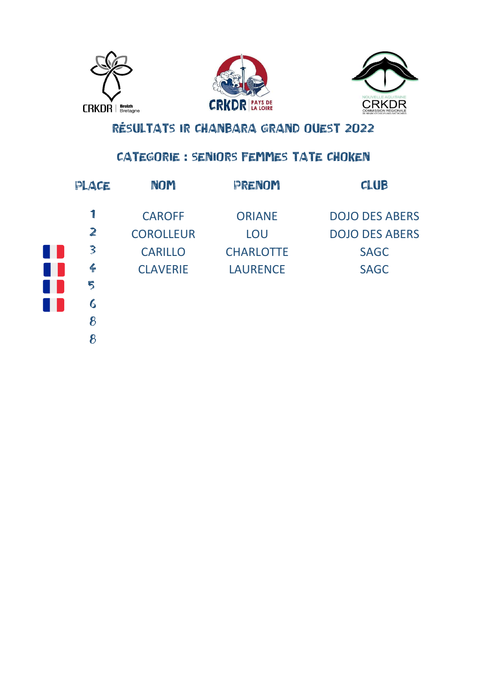





### CATEGORIE : SENIORS FEMMES TATE CHOKEN

| PLACE           | <b>NOM</b>       | PRENOM           | CLUB                  |
|-----------------|------------------|------------------|-----------------------|
|                 | <b>CAROFF</b>    | <b>ORIANE</b>    | <b>DOJO DES ABERS</b> |
| $\mathbb{Z}$    | <b>COROLLEUR</b> | LOU              | <b>DOJO DES ABERS</b> |
| 3               | <b>CARILLO</b>   | <b>CHARLOTTE</b> | <b>SAGC</b>           |
| $\frac{Z}{\pi}$ | <b>CLAVERIE</b>  | <b>LAURENCE</b>  | <b>SAGC</b>           |
| 5               |                  |                  |                       |
| 6               |                  |                  |                       |
| 8               |                  |                  |                       |
| 8               |                  |                  |                       |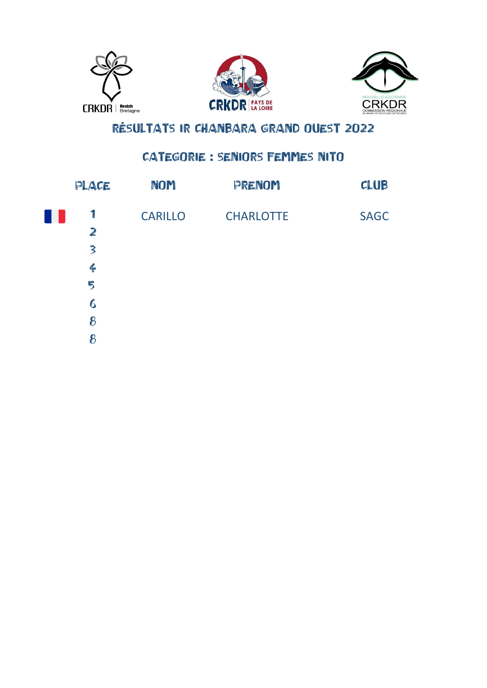





#### CATEGORIE : SENIORS FEMMES NITO

| PLACE                   | NOM            | PRENOM           | CLUB        |
|-------------------------|----------------|------------------|-------------|
| 1                       | <b>CARILLO</b> | <b>CHARLOTTE</b> | <b>SAGC</b> |
| $\overline{\mathbb{Z}}$ |                |                  |             |
| $\overline{\mathbf{3}}$ |                |                  |             |
| $\leftarrow$            |                |                  |             |
| 5                       |                |                  |             |
| $6\phantom{.}6$         |                |                  |             |
| 8                       |                |                  |             |
| 8                       |                |                  |             |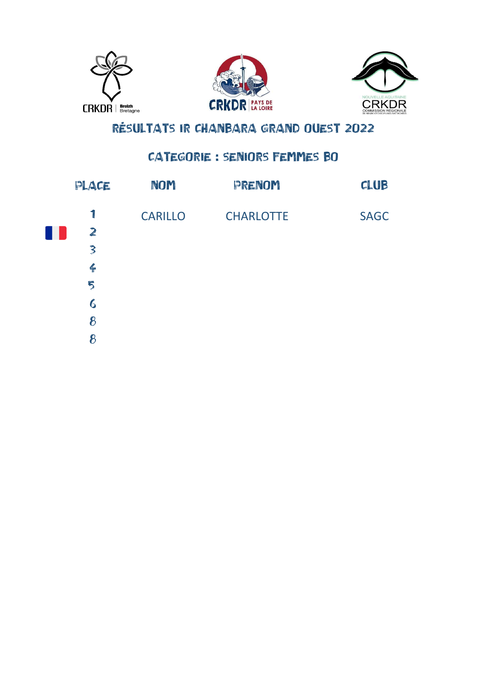





#### CATEGORIE : SENIORS FEMMES BO

| PLACE            | NOM            | PRENOM           | CLUB        |
|------------------|----------------|------------------|-------------|
| 1                | <b>CARILLO</b> | <b>CHARLOTTE</b> | <b>SAGC</b> |
| W                |                |                  |             |
| $\mathbf{3}$     |                |                  |             |
| $\frac{2}{1}$    |                |                  |             |
| 5                |                |                  |             |
| $\boldsymbol{6}$ |                |                  |             |
| 8                |                |                  |             |
| 8                |                |                  |             |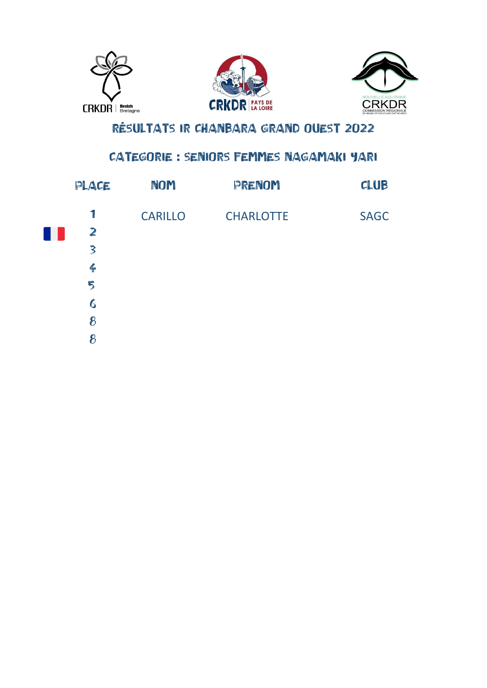





### CATEGORIE : SENIORS FEMMES NAGAMAKI YARI

| PLACE                   | NOM            | PRENOM           | CLUB        |
|-------------------------|----------------|------------------|-------------|
| $\mathbf{I}$            | <b>CARILLO</b> | <b>CHARLOTTE</b> | <b>SAGC</b> |
| $\mathbf{z}$            |                |                  |             |
| $\overline{\mathbf{3}}$ |                |                  |             |
| $\frac{2}{1}$           |                |                  |             |
| 5                       |                |                  |             |
| $\boldsymbol{6}$        |                |                  |             |
| 8                       |                |                  |             |
| 8                       |                |                  |             |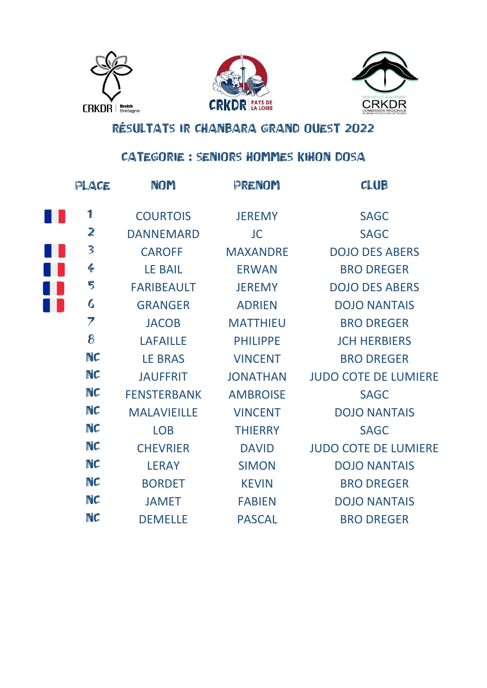





#### CATEGORIE : SENIORS HOMMES KIHON DOSA

| PLACE                   | <b>NOM</b>         | PRENOM          | CLUB                        |
|-------------------------|--------------------|-----------------|-----------------------------|
| 1                       | <b>COURTOIS</b>    | <b>JEREMY</b>   | <b>SAGC</b>                 |
| $\mathbf{z}$            | <b>DANNEMARD</b>   | <b>JC</b>       | <b>SAGC</b>                 |
| $\overline{\mathbf{3}}$ | <b>CAROFF</b>      | <b>MAXANDRE</b> | <b>DOJO DES ABERS</b>       |
| $\frac{2}{1}$           | <b>LE BAIL</b>     | <b>ERWAN</b>    | <b>BRO DREGER</b>           |
| 5                       | <b>FARIBEAULT</b>  | <b>JEREMY</b>   | <b>DOJO DES ABERS</b>       |
| $\boldsymbol{6}$        | <b>GRANGER</b>     | <b>ADRIEN</b>   | <b>DOJO NANTAIS</b>         |
| 7                       | <b>JACOB</b>       | <b>MATTHIEU</b> | <b>BRO DREGER</b>           |
| 8                       | <b>LAFAILLE</b>    | <b>PHILIPPE</b> | <b>JCH HERBIERS</b>         |
| NC                      | <b>LE BRAS</b>     | <b>VINCENT</b>  | <b>BRO DREGER</b>           |
| NC                      | <b>JAUFFRIT</b>    | <b>JONATHAN</b> | <b>JUDO COTE DE LUMIERE</b> |
| NC                      | <b>FENSTERBANK</b> | <b>AMBROISE</b> | <b>SAGC</b>                 |
| NC                      | <b>MALAVIEILLE</b> | <b>VINCENT</b>  | <b>DOJO NANTAIS</b>         |
| NC                      | <b>LOB</b>         | <b>THIERRY</b>  | <b>SAGC</b>                 |
| NC                      | <b>CHEVRIER</b>    | <b>DAVID</b>    | <b>JUDO COTE DE LUMIERE</b> |
| NC                      | <b>LERAY</b>       | <b>SIMON</b>    | <b>DOJO NANTAIS</b>         |
| NC                      | <b>BORDET</b>      | <b>KEVIN</b>    | <b>BRO DREGER</b>           |
| NC                      | <b>JAMET</b>       | <b>FABIEN</b>   | <b>DOJO NANTAIS</b>         |
| NC                      | <b>DEMELLE</b>     | <b>PASCAL</b>   | <b>BRO DREGER</b>           |
|                         |                    |                 |                             |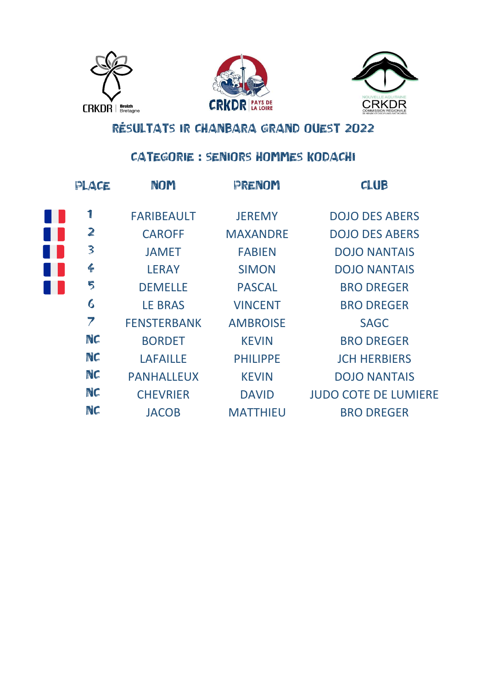





### CATEGORIE : SENIORS HOMMES KODACHI

| PLACE        | <b>NOM</b>         | PRENOM          | <b>CLUB</b>                 |
|--------------|--------------------|-----------------|-----------------------------|
|              | <b>FARIBEAULT</b>  | <b>JEREMY</b>   | <b>DOJO DES ABERS</b>       |
| $\mathbb{Z}$ | <b>CAROFF</b>      | <b>MAXANDRE</b> | <b>DOJO DES ABERS</b>       |
| 3            | <b>JAMET</b>       | <b>FABIEN</b>   | <b>DOJO NANTAIS</b>         |
| $\leftarrow$ | <b>LERAY</b>       | <b>SIMON</b>    | <b>DOJO NANTAIS</b>         |
| 5            | <b>DEMELLE</b>     | <b>PASCAL</b>   | <b>BRO DREGER</b>           |
| 6            | <b>LE BRAS</b>     | <b>VINCENT</b>  | <b>BRO DREGER</b>           |
| 7            | <b>FENSTERBANK</b> | <b>AMBROISE</b> | <b>SAGC</b>                 |
| NC           | <b>BORDET</b>      | <b>KEVIN</b>    | <b>BRO DREGER</b>           |
| NC           | <b>LAFAILLE</b>    | <b>PHILIPPE</b> | <b>JCH HERBIERS</b>         |
| NC           | <b>PANHALLEUX</b>  | <b>KEVIN</b>    | <b>DOJO NANTAIS</b>         |
| NC           | <b>CHEVRIER</b>    | <b>DAVID</b>    | <b>JUDO COTE DE LUMIERE</b> |
| NC           | <b>JACOB</b>       | <b>MATTHIEU</b> | <b>BRO DREGER</b>           |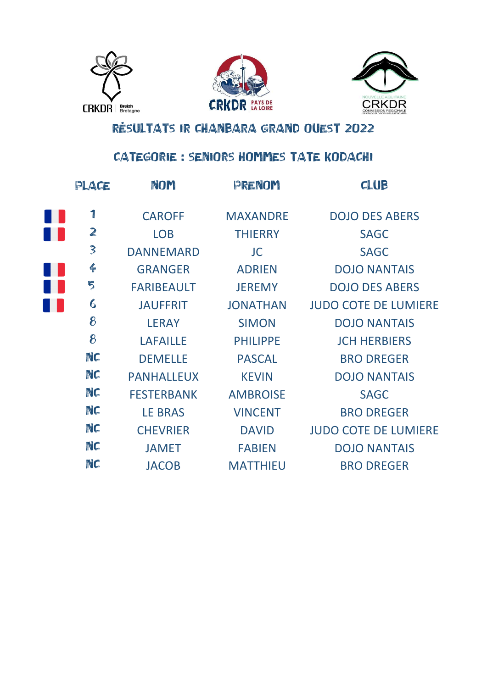





### CATEGORIE : SENIORS HOMMES TATE KODACHI

| PLACE            | <b>NOM</b>        | PRENOM          | <b>CLUB</b>                 |
|------------------|-------------------|-----------------|-----------------------------|
| 1                | <b>CAROFF</b>     | <b>MAXANDRE</b> | <b>DOJO DES ABERS</b>       |
| $\mathbf{z}$     | <b>LOB</b>        | <b>THIERRY</b>  | <b>SAGC</b>                 |
| $\mathbf{3}$     | <b>DANNEMARD</b>  | <b>JC</b>       | <b>SAGC</b>                 |
| $\frac{2}{\pi}$  | <b>GRANGER</b>    | <b>ADRIEN</b>   | <b>DOJO NANTAIS</b>         |
| 5                | <b>FARIBEAULT</b> | <b>JEREMY</b>   | <b>DOJO DES ABERS</b>       |
| $\boldsymbol{6}$ | <b>JAUFFRIT</b>   | <b>JONATHAN</b> | <b>JUDO COTE DE LUMIERE</b> |
| 8                | <b>LERAY</b>      | <b>SIMON</b>    | <b>DOJO NANTAIS</b>         |
| 8                | <b>LAFAILLE</b>   | <b>PHILIPPE</b> | <b>JCH HERBIERS</b>         |
| NC               | <b>DEMELLE</b>    | <b>PASCAL</b>   | <b>BRO DREGER</b>           |
| NC               | <b>PANHALLEUX</b> | <b>KEVIN</b>    | <b>DOJO NANTAIS</b>         |
| NC               | <b>FESTERBANK</b> | <b>AMBROISE</b> | <b>SAGC</b>                 |
| NC               | <b>LE BRAS</b>    | <b>VINCENT</b>  | <b>BRO DREGER</b>           |
| NC               | <b>CHEVRIER</b>   | <b>DAVID</b>    | <b>JUDO COTE DE LUMIERE</b> |
| NC               | <b>JAMET</b>      | <b>FABIEN</b>   | <b>DOJO NANTAIS</b>         |
| NC               | <b>JACOB</b>      | <b>MATTHIEU</b> | <b>BRO DREGER</b>           |
|                  |                   |                 |                             |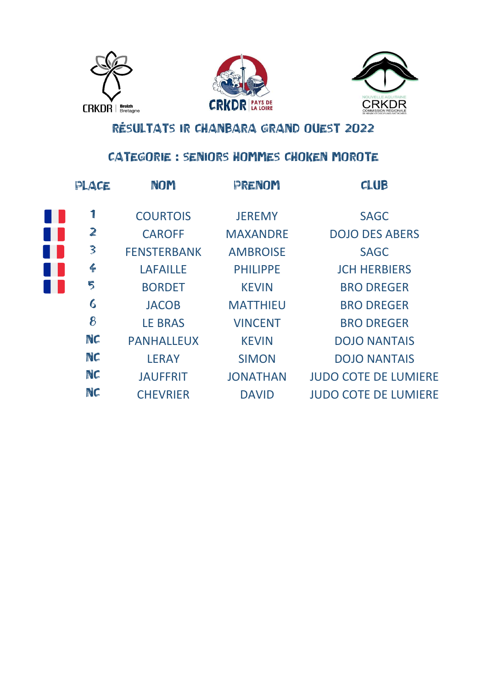





### CATEGORIE : SENIORS HOMMES CHOKEN MOROTE

| PLACE            | NOM                | PRENOM          | CLUB                        |
|------------------|--------------------|-----------------|-----------------------------|
| 1                | <b>COURTOIS</b>    | <b>JEREMY</b>   | <b>SAGC</b>                 |
| $\mathbf{z}$     | <b>CAROFF</b>      | <b>MAXANDRE</b> | <b>DOJO DES ABERS</b>       |
| 3                | <b>FENSTERBANK</b> | <b>AMBROISE</b> | <b>SAGC</b>                 |
| $\frac{2}{1}$    | <b>LAFAILLE</b>    | <b>PHILIPPE</b> | <b>JCH HERBIERS</b>         |
| 5                | <b>BORDET</b>      | <b>KEVIN</b>    | <b>BRO DREGER</b>           |
| $\boldsymbol{6}$ | <b>JACOB</b>       | <b>MATTHIEU</b> | <b>BRO DREGER</b>           |
| 8                | <b>LE BRAS</b>     | <b>VINCENT</b>  | <b>BRO DREGER</b>           |
| NC               | <b>PANHALLEUX</b>  | <b>KEVIN</b>    | <b>DOJO NANTAIS</b>         |
| NC               | <b>LERAY</b>       | <b>SIMON</b>    | <b>DOJO NANTAIS</b>         |
| NC               | <b>JAUFFRIT</b>    | <b>JONATHAN</b> | <b>JUDO COTE DE LUMIERE</b> |
| NC               | <b>CHEVRIER</b>    | <b>DAVID</b>    | <b>JUDO COTE DE LUMIERE</b> |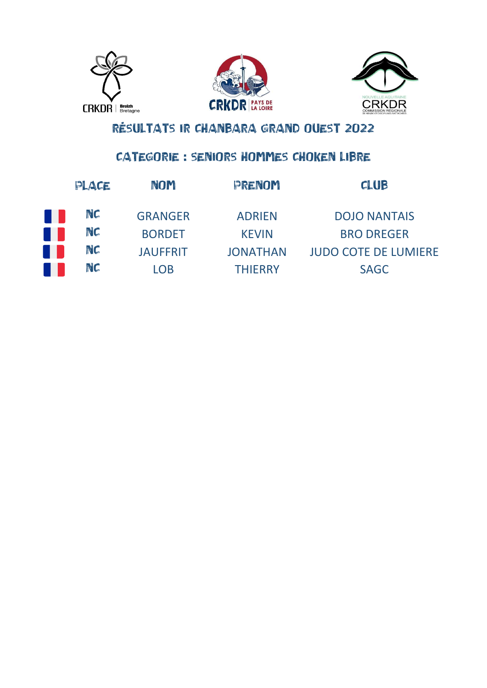





### CATEGORIE : SENIORS HOMMES CHOKEN LIBRE

| PLACE | NOM             | PRENOM          | <b>CLUB</b>                 |
|-------|-----------------|-----------------|-----------------------------|
| NC    | <b>GRANGER</b>  | <b>ADRIEN</b>   | <b>DOJO NANTAIS</b>         |
| NC    | <b>BORDET</b>   | <b>KEVIN</b>    | <b>BRO DREGER</b>           |
| NC    | <b>JAUFFRIT</b> | <b>JONATHAN</b> | <b>JUDO COTE DE LUMIERE</b> |
| NC    | LOB.            | <b>THIFRRY</b>  | <b>SAGC</b>                 |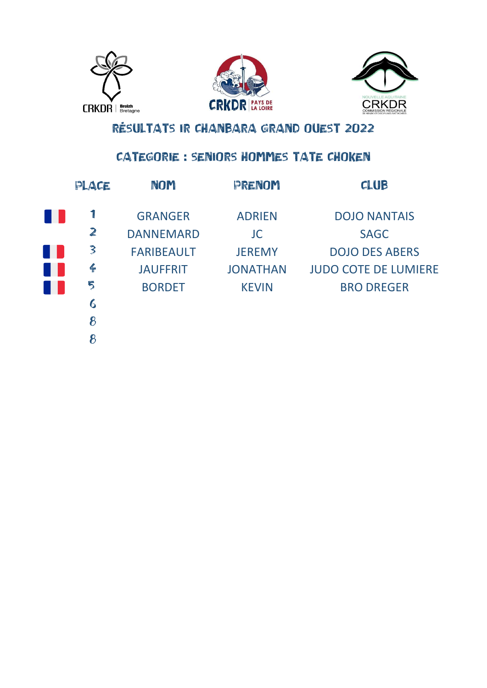





### **CATEGORIE : SENIORS HOMMES TATE CHOKEN**

| PLACE         | NOM               | PRENOM          | <b>CLUB</b>                 |
|---------------|-------------------|-----------------|-----------------------------|
|               | <b>GRANGER</b>    | <b>ADRIEN</b>   | <b>DOJO NANTAIS</b>         |
| $\mathbb{Z}$  | <b>DANNEMARD</b>  | <b>JC</b>       | <b>SAGC</b>                 |
| 3             | <b>FARIBEAULT</b> | <b>JEREMY</b>   | <b>DOJO DES ABERS</b>       |
| $\frac{2}{1}$ | <b>JAUFFRIT</b>   | <b>JONATHAN</b> | <b>JUDO COTE DE LUMIERE</b> |
| 5             | <b>BORDET</b>     | <b>KEVIN</b>    | <b>BRO DREGER</b>           |
| 6             |                   |                 |                             |
| 8             |                   |                 |                             |
| 8             |                   |                 |                             |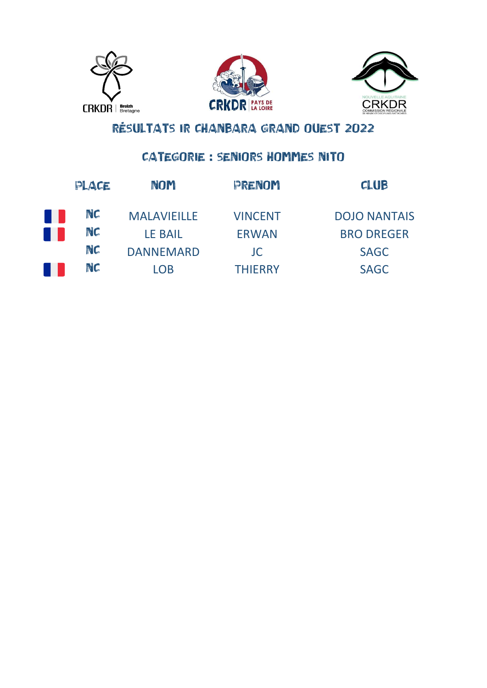





#### **CATEGORIE : SENIORS HOMMES NITO**

| PLACE | NOM                | PRENOM         | <b>CLUB</b>         |
|-------|--------------------|----------------|---------------------|
| NC    | <b>MALAVIEILLE</b> | <b>VINCENT</b> | <b>DOJO NANTAIS</b> |
| NC    | <b>LE BAIL</b>     | <b>ERWAN</b>   | <b>BRO DREGER</b>   |
| NC    | <b>DANNEMARD</b>   | JC.            | <b>SAGC</b>         |
| NC    | LOB                | <b>THIERRY</b> | SAGC                |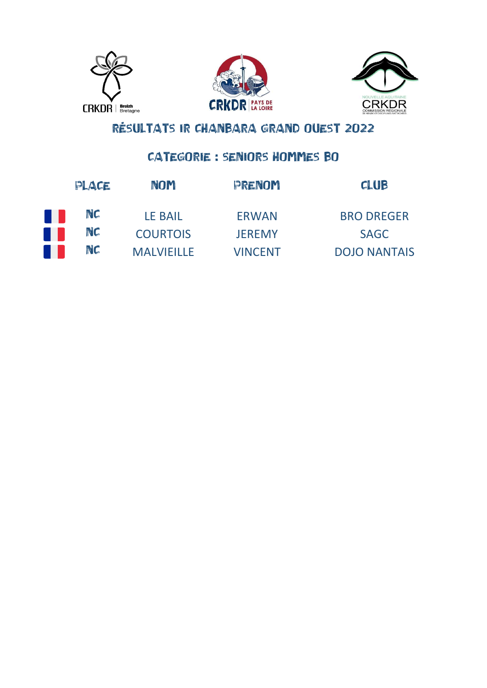





**CATEGORIE : SENIORS HOMMES BO** 

| PLACE | <b>NOM</b>        | PRENOM         | <b>CLUB</b>         |
|-------|-------------------|----------------|---------------------|
| NC    | <b>LE BAIL</b>    | <b>ERWAN</b>   | <b>BRO DREGER</b>   |
| NC    | <b>COURTOIS</b>   | <b>JEREMY</b>  | <b>SAGC</b>         |
| NC    | <b>MALVIEILLE</b> | <b>VINCENT</b> | <b>DOJO NANTAIS</b> |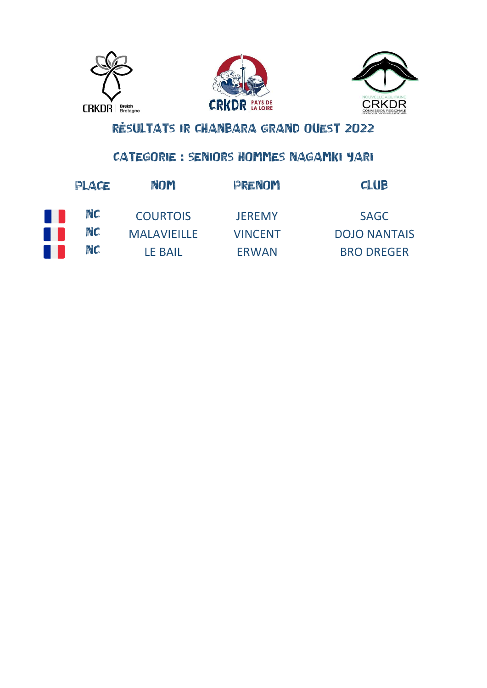





### CATEGORIE : SENIORS HOMMES NAGAMKI YARI

| PLACE | <b>NOM</b>         | PRENOM         | <b>CLUB</b>         |
|-------|--------------------|----------------|---------------------|
| NC    | <b>COURTOIS</b>    | <b>JEREMY</b>  | <b>SAGC</b>         |
| NC    | <b>MALAVIEILLE</b> | <b>VINCENT</b> | <b>DOJO NANTAIS</b> |
| NC    | <b>LE BAIL</b>     | <b>ERWAN</b>   | <b>BRO DREGER</b>   |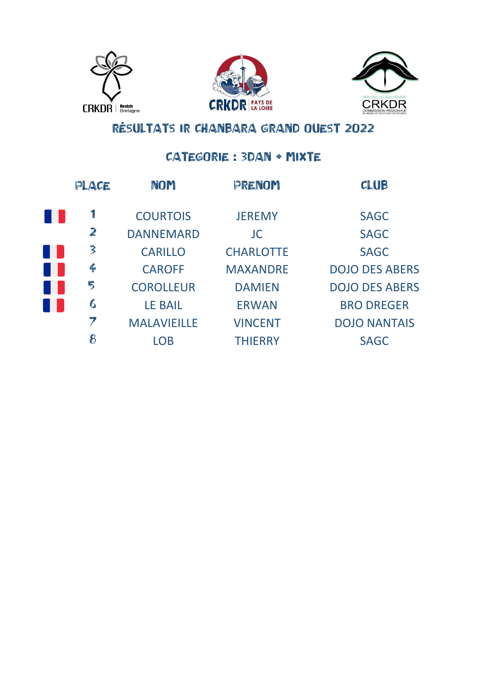





### CATEGORIE : 3DAN + MIXTE

| PLACE            | <b>NOM</b>         | PRENOM           | <b>CLUB</b>           |
|------------------|--------------------|------------------|-----------------------|
|                  | <b>COURTOIS</b>    | <b>JEREMY</b>    | <b>SAGC</b>           |
| $\mathbb{Z}$     | <b>DANNEMARD</b>   | <b>JC</b>        | <b>SAGC</b>           |
| 3                | <b>CARILLO</b>     | <b>CHARLOTTE</b> | <b>SAGC</b>           |
| $\frac{2}{1}$    | <b>CAROFF</b>      | <b>MAXANDRE</b>  | <b>DOJO DES ABERS</b> |
| 5                | <b>COROLLEUR</b>   | <b>DAMIEN</b>    | <b>DOJO DES ABERS</b> |
| $\boldsymbol{6}$ | <b>LE BAIL</b>     | <b>ERWAN</b>     | <b>BRO DREGER</b>     |
| 7                | <b>MALAVIEILLE</b> | <b>VINCENT</b>   | <b>DOJO NANTAIS</b>   |
| 8                | <b>LOB</b>         | <b>THIERRY</b>   | <b>SAGC</b>           |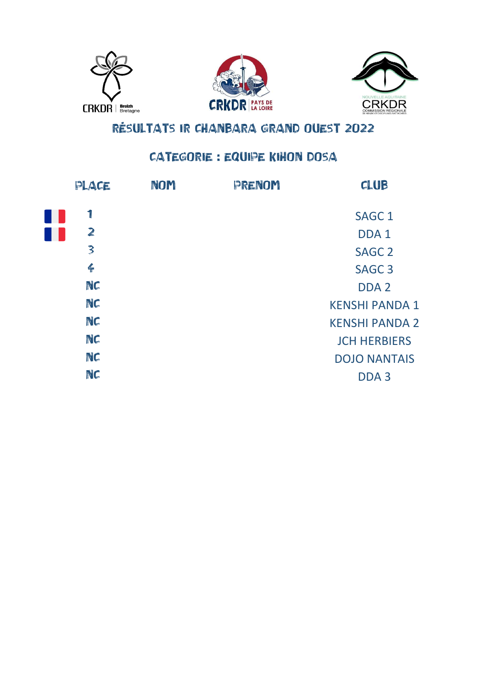





#### CATEGORIE : EQUIPE KIHON DOSA

| PLACE                   | <b>NOM</b> | PRENOM | CLUB                  |
|-------------------------|------------|--------|-----------------------|
| 1                       |            |        | <b>SAGC 1</b>         |
| $\mathbf{z}$            |            |        | DDA <sub>1</sub>      |
| $\overline{\mathbf{3}}$ |            |        | <b>SAGC 2</b>         |
| $\leftarrow$            |            |        | SAGC <sub>3</sub>     |
| NC                      |            |        | DDA <sub>2</sub>      |
| NC                      |            |        | <b>KENSHI PANDA 1</b> |
| NC                      |            |        | <b>KENSHI PANDA 2</b> |
| NC                      |            |        | <b>JCH HERBIERS</b>   |
| NC                      |            |        | <b>DOJO NANTAIS</b>   |
| NC                      |            |        | DDA <sub>3</sub>      |
|                         |            |        |                       |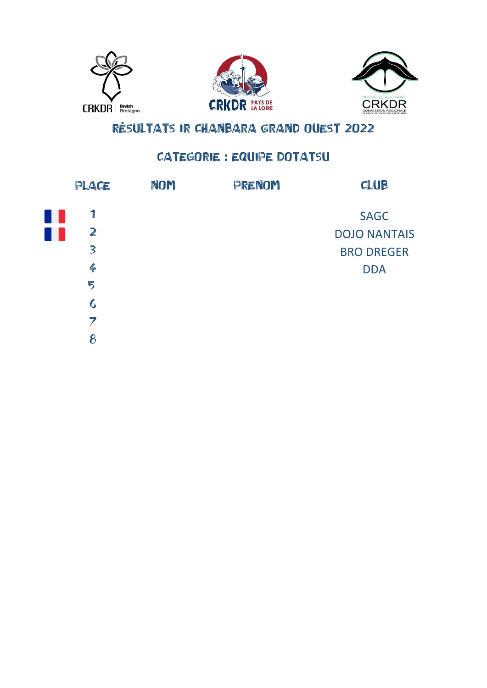





### **CATEGORIE : EQUIPE DOTATSU**

| PLACE            | NOM | PRENOM | CLUB                |
|------------------|-----|--------|---------------------|
|                  |     |        | <b>SAGC</b>         |
| $\mathbb{Z}$     |     |        | <b>DOJO NANTAIS</b> |
| $\mathbf{3}$     |     |        | <b>BRO DREGER</b>   |
| $\frac{2}{1}$    |     |        | <b>DDA</b>          |
| 5                |     |        |                     |
| $\boldsymbol{6}$ |     |        |                     |
| 7                |     |        |                     |
| 8                |     |        |                     |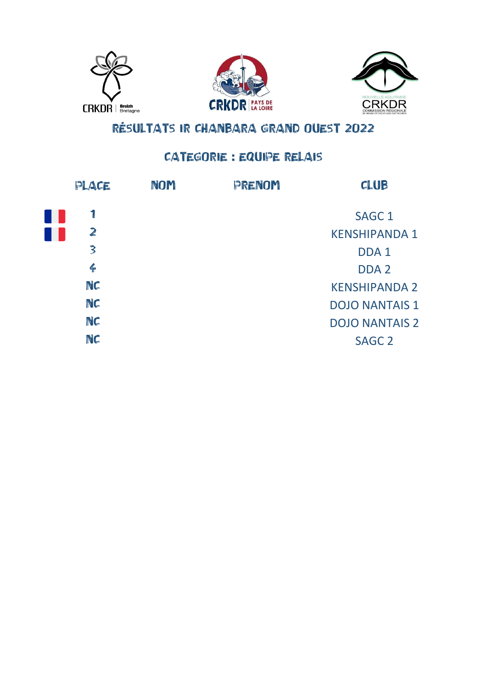





### CATEGORIE : EQUIPE RELAIS

| PLACE                   | NOM | PRENOM | CLUB                  |
|-------------------------|-----|--------|-----------------------|
|                         |     |        | SAGC <sub>1</sub>     |
| $\mathbf{z}$            |     |        | <b>KENSHIPANDA 1</b>  |
| $\overline{\mathbf{3}}$ |     |        | DDA <sub>1</sub>      |
| $\leftarrow$            |     |        | DDA <sub>2</sub>      |
| NC                      |     |        | <b>KENSHIPANDA 2</b>  |
| NC                      |     |        | <b>DOJO NANTAIS 1</b> |
| NC                      |     |        | <b>DOJO NANTAIS 2</b> |
| NC                      |     |        | <b>SAGC 2</b>         |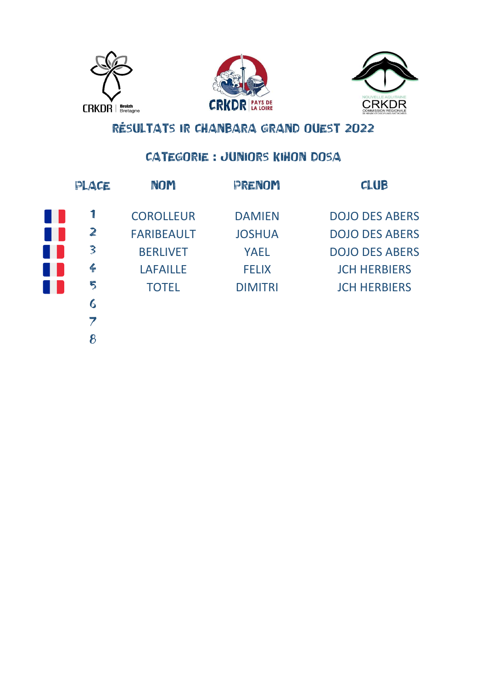





#### CATEGORIE : JUNIORS KIHON DOSA

| PLACE         | NOM               | PRENOM         | <b>CLUB</b>           |
|---------------|-------------------|----------------|-----------------------|
| Ţ             | <b>COROLLEUR</b>  | <b>DAMIEN</b>  | <b>DOJO DES ABERS</b> |
| $\mathbb{Z}$  | <b>FARIBEAULT</b> | <b>JOSHUA</b>  | <b>DOJO DES ABERS</b> |
| 3             | <b>BERLIVET</b>   | <b>YAEL</b>    | <b>DOJO DES ABERS</b> |
| $\frac{2}{1}$ | <b>LAFAILLE</b>   | <b>FELIX</b>   | <b>JCH HERBIERS</b>   |
| 5             | <b>TOTEL</b>      | <b>DIMITRI</b> | <b>JCH HERBIERS</b>   |
| 6             |                   |                |                       |
| 7             |                   |                |                       |
| 8             |                   |                |                       |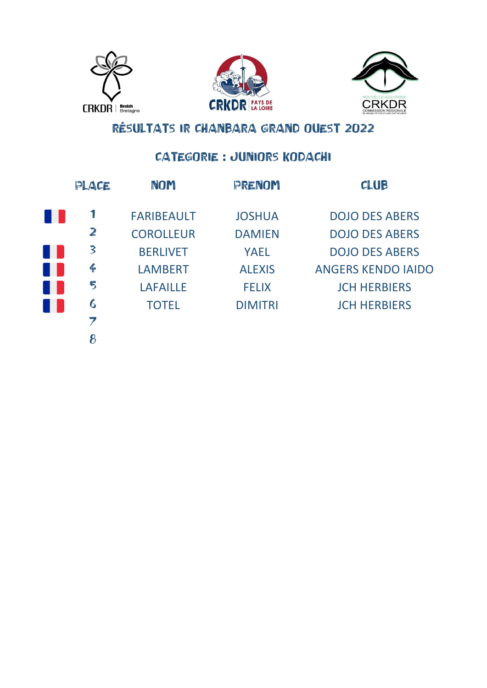





#### CATEGORIE : JUNIORS KODACHI

| PLACE        | <b>NOM</b>        | PRENOM         | <b>CLUB</b>               |
|--------------|-------------------|----------------|---------------------------|
|              | <b>FARIBEAULT</b> | <b>JOSHUA</b>  | <b>DOJO DES ABERS</b>     |
| $\mathbf{z}$ | <b>COROLLEUR</b>  | <b>DAMIEN</b>  | <b>DOJO DES ABERS</b>     |
| 3            | <b>BERLIVET</b>   | <b>YAEL</b>    | <b>DOJO DES ABERS</b>     |
| $\leftarrow$ | <b>LAMBERT</b>    | <b>ALEXIS</b>  | <b>ANGERS KENDO IAIDO</b> |
| 5            | <b>LAFAILLE</b>   | <b>FELIX</b>   | <b>JCH HERBIERS</b>       |
| 6            | <b>TOTEL</b>      | <b>DIMITRI</b> | <b>JCH HERBIERS</b>       |
|              |                   |                |                           |
|              |                   |                |                           |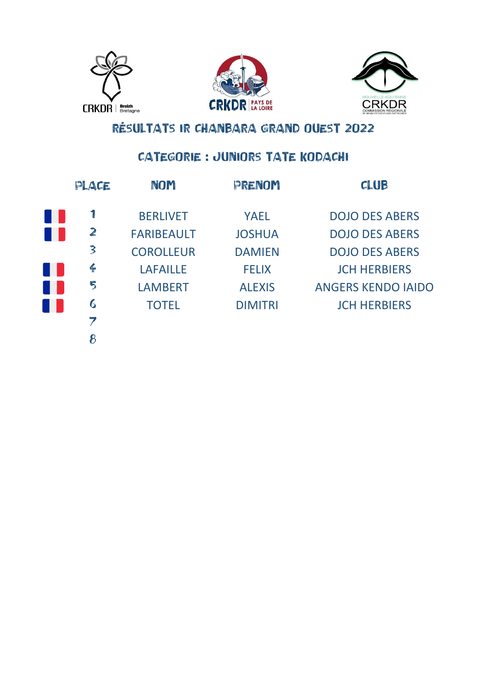





### CATEGORIE : JUNIORS TATE KODACHI

| PLACE        | NOM               | PRENOM         | <b>CLUB</b>               |
|--------------|-------------------|----------------|---------------------------|
|              | <b>BERLIVET</b>   | <b>YAEL</b>    | <b>DOJO DES ABERS</b>     |
| $\mathbf{z}$ | <b>FARIBEAULT</b> | <b>JOSHUA</b>  | <b>DOJO DES ABERS</b>     |
| 3            | <b>COROLLEUR</b>  | <b>DAMIEN</b>  | <b>DOJO DES ABERS</b>     |
| $\leftarrow$ | <b>LAFAILLE</b>   | <b>FELIX</b>   | <b>JCH HERBIERS</b>       |
| 5            | <b>LAMBERT</b>    | <b>ALEXIS</b>  | <b>ANGERS KENDO IAIDO</b> |
| 6            | <b>TOTEL</b>      | <b>DIMITRI</b> | <b>JCH HERBIERS</b>       |
|              |                   |                |                           |
|              |                   |                |                           |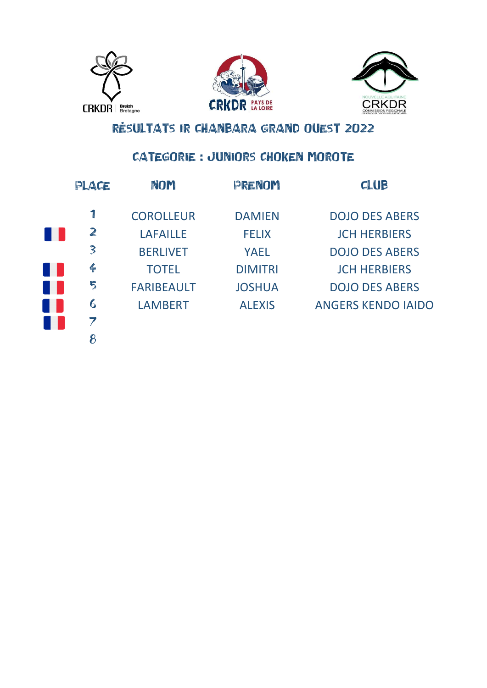





### CATEGORIE : JUNIORS CHOKEN MOROTE

| PLACE         | NOM               | PRENOM         | <b>CLUB</b>               |
|---------------|-------------------|----------------|---------------------------|
|               | <b>COROLLEUR</b>  | <b>DAMIEN</b>  | <b>DOJO DES ABERS</b>     |
| $\mathbb{Z}$  | <b>LAFAILLE</b>   | <b>FELIX</b>   | <b>JCH HERBIERS</b>       |
| 3             | <b>BERLIVET</b>   | <b>YAEL</b>    | <b>DOJO DES ABERS</b>     |
| $\frac{2}{1}$ | <b>TOTEL</b>      | <b>DIMITRI</b> | <b>JCH HERBIERS</b>       |
| 5             | <b>FARIBEAULT</b> | <b>JOSHUA</b>  | <b>DOJO DES ABERS</b>     |
| 6             | <b>LAMBERT</b>    | <b>ALEXIS</b>  | <b>ANGERS KENDO IAIDO</b> |
| 7             |                   |                |                           |
|               |                   |                |                           |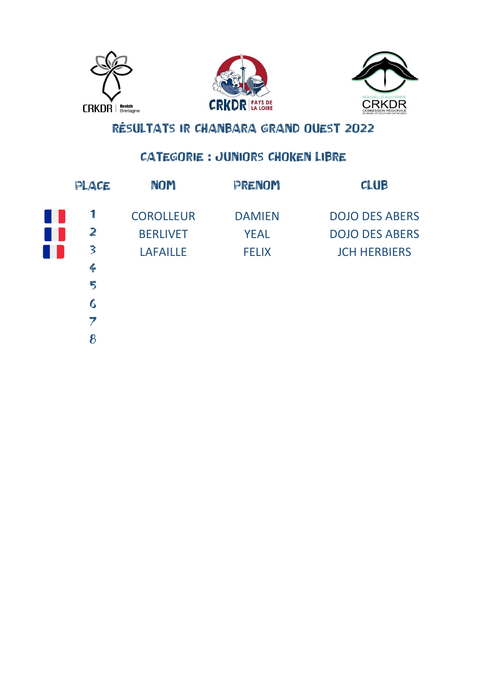





### CATEGORIE : JUNIORS CHOKEN LIBRE

| PLACE            | NOM              | PRENOM        | <b>CLUB</b>           |
|------------------|------------------|---------------|-----------------------|
| 1                | <b>COROLLEUR</b> | <b>DAMIEN</b> | <b>DOJO DES ABERS</b> |
| $\mathbb{Z}$     | <b>BERLIVET</b>  | <b>YEAL</b>   | <b>DOJO DES ABERS</b> |
| 3                | <b>LAFAILLE</b>  | <b>FELIX</b>  | <b>JCH HERBIERS</b>   |
| $\frac{2}{1}$    |                  |               |                       |
| 5                |                  |               |                       |
| $\boldsymbol{6}$ |                  |               |                       |
| 7                |                  |               |                       |
| 8                |                  |               |                       |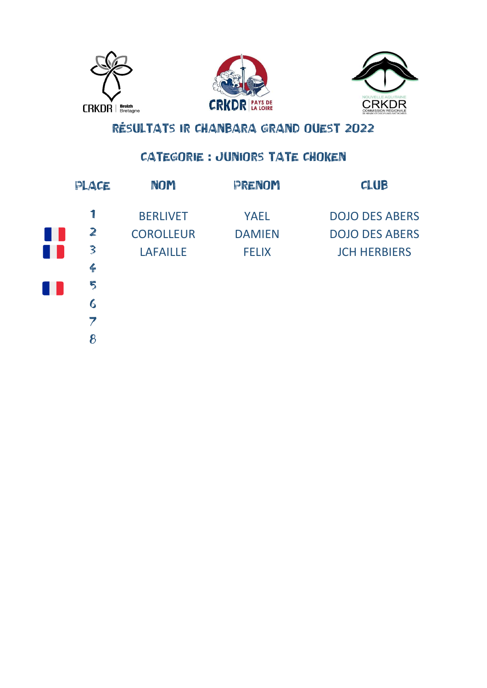





### CATEGORIE : JUNIORS TATE CHOKEN

| PLACE           | <b>NOM</b>       | PRENOM        | <b>CLUB</b>           |
|-----------------|------------------|---------------|-----------------------|
| 1               | <b>BERLIVET</b>  | <b>YAEL</b>   | <b>DOJO DES ABERS</b> |
| $\mathbb{Z}$    | <b>COROLLEUR</b> | <b>DAMIEN</b> | <b>DOJO DES ABERS</b> |
| 3               | <b>LAFAILLE</b>  | <b>FELIX</b>  | <b>JCH HERBIERS</b>   |
| $\frac{2}{\pi}$ |                  |               |                       |
| 5               |                  |               |                       |
| 6               |                  |               |                       |
| 7               |                  |               |                       |
| 8               |                  |               |                       |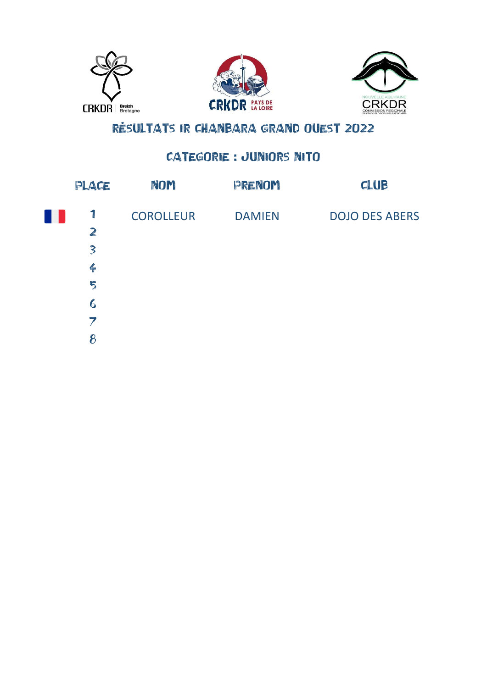





### CATEGORIE : JUNIORS NITO

| PLACE                   | NOM              | PRENOM        | CLUB                  |
|-------------------------|------------------|---------------|-----------------------|
| $\mathbb{I}$            | <b>COROLLEUR</b> | <b>DAMIEN</b> | <b>DOJO DES ABERS</b> |
| $\mathbb{Z}$            |                  |               |                       |
| $\overline{\mathbf{3}}$ |                  |               |                       |
| $\leftarrow$            |                  |               |                       |
| 5                       |                  |               |                       |
| $\boldsymbol{6}$        |                  |               |                       |
| 7                       |                  |               |                       |
| 8                       |                  |               |                       |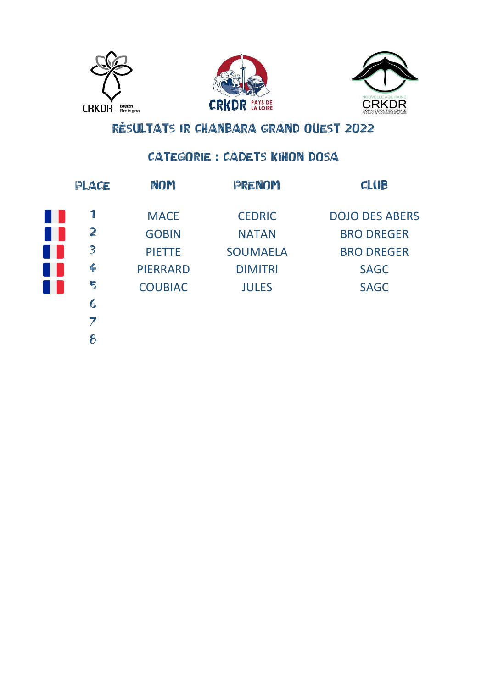





#### CATEGORIE : CADETS KIHON DOSA

| PLACE            | <b>NOM</b>      | PRENOM          | CLUB                  |
|------------------|-----------------|-----------------|-----------------------|
| 1                | <b>MACE</b>     | <b>CEDRIC</b>   | <b>DOJO DES ABERS</b> |
| $\mathbb{Z}$     | <b>GOBIN</b>    | <b>NATAN</b>    | <b>BRO DREGER</b>     |
| 3                | <b>PIETTE</b>   | <b>SOUMAELA</b> | <b>BRO DREGER</b>     |
| $\frac{2}{1}$    | <b>PIERRARD</b> | <b>DIMITRI</b>  | <b>SAGC</b>           |
| 5                | <b>COUBIAC</b>  | <b>JULES</b>    | <b>SAGC</b>           |
| $\boldsymbol{6}$ |                 |                 |                       |
| 7                |                 |                 |                       |
| 8                |                 |                 |                       |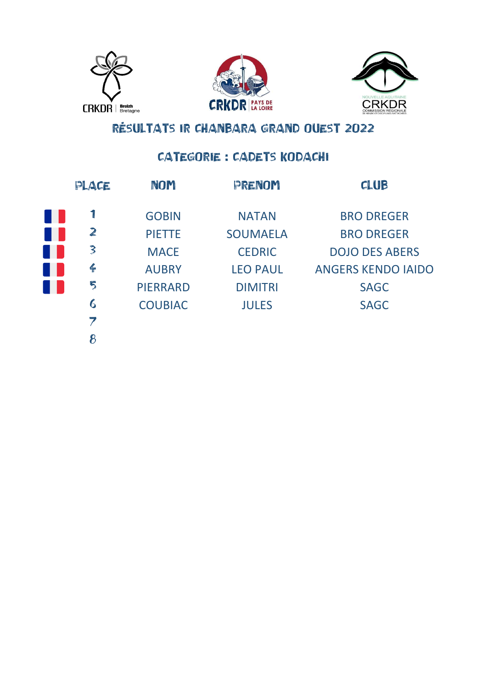





### CATEGORIE : CADETS KODACHI

| PLACE            | <b>NOM</b>      | PRENOM          | CLUB                      |
|------------------|-----------------|-----------------|---------------------------|
|                  | <b>GOBIN</b>    | <b>NATAN</b>    | <b>BRO DREGER</b>         |
| $\mathbf{z}$     | <b>PIETTE</b>   | <b>SOUMAELA</b> | <b>BRO DREGER</b>         |
| 3                | <b>MACE</b>     | <b>CEDRIC</b>   | <b>DOJO DES ABERS</b>     |
| $\leftarrow$     | <b>AUBRY</b>    | <b>LEO PAUL</b> | <b>ANGERS KENDO IAIDO</b> |
| 5                | <b>PIERRARD</b> | <b>DIMITRI</b>  | <b>SAGC</b>               |
| $\boldsymbol{6}$ | <b>COUBIAC</b>  | <b>JULES</b>    | <b>SAGC</b>               |
| 7                |                 |                 |                           |
| 8                |                 |                 |                           |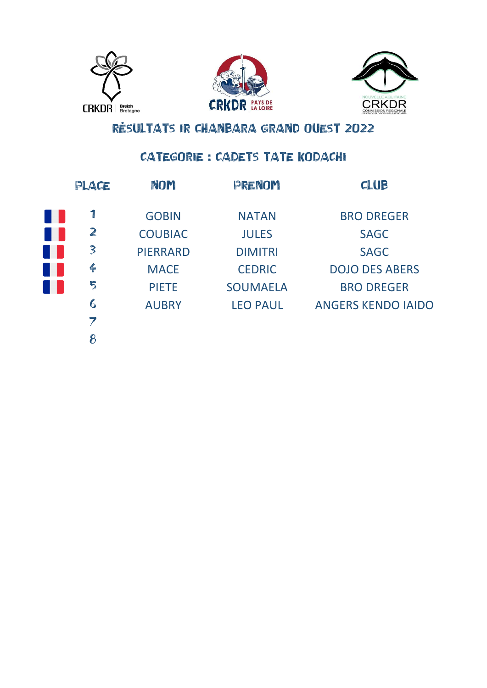





### CATEGORIE : CADETS TATE KODACHI

| PLACE                    | <b>NOM</b>      | PRENOM          | <b>CLUB</b>               |
|--------------------------|-----------------|-----------------|---------------------------|
| 1                        | <b>GOBIN</b>    | <b>NATAN</b>    | <b>BRO DREGER</b>         |
| $\mathbb{Z}$             | <b>COUBIAC</b>  | <b>JULES</b>    | <b>SAGC</b>               |
| 3                        | <b>PIERRARD</b> | <b>DIMITRI</b>  | <b>SAGC</b>               |
| $\leftarrow$             | <b>MACE</b>     | <b>CEDRIC</b>   | <b>DOJO DES ABERS</b>     |
| 5                        | <b>PIETE</b>    | <b>SOUMAELA</b> | <b>BRO DREGER</b>         |
| 6                        | <b>AUBRY</b>    | <b>LEO PAUL</b> | <b>ANGERS KENDO IAIDO</b> |
| $\overline{\phantom{a}}$ |                 |                 |                           |
| 8                        |                 |                 |                           |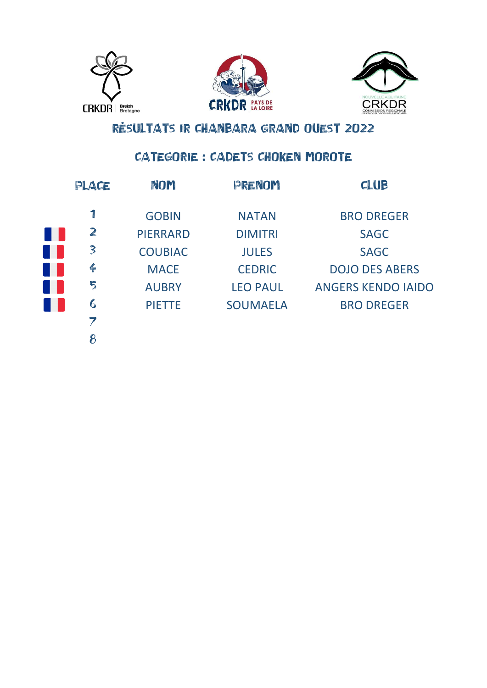





### **CATEGORIE : CADETS CHOKEN MOROTE**

| PLACE            | <b>NOM</b>      | PRENOM          | <b>CLUB</b>               |
|------------------|-----------------|-----------------|---------------------------|
|                  | <b>GOBIN</b>    | <b>NATAN</b>    | <b>BRO DREGER</b>         |
| $\mathbb{Z}$     | <b>PIERRARD</b> | <b>DIMITRI</b>  | <b>SAGC</b>               |
| $\mathbf{3}$     | <b>COUBIAC</b>  | <b>JULES</b>    | <b>SAGC</b>               |
| $\frac{2}{1}$    | <b>MACE</b>     | <b>CEDRIC</b>   | <b>DOJO DES ABERS</b>     |
| 5                | <b>AUBRY</b>    | <b>LEO PAUL</b> | <b>ANGERS KENDO IAIDO</b> |
| $\boldsymbol{6}$ | <b>PIETTE</b>   | <b>SOUMAELA</b> | <b>BRO DREGER</b>         |
| 7                |                 |                 |                           |
| 8                |                 |                 |                           |